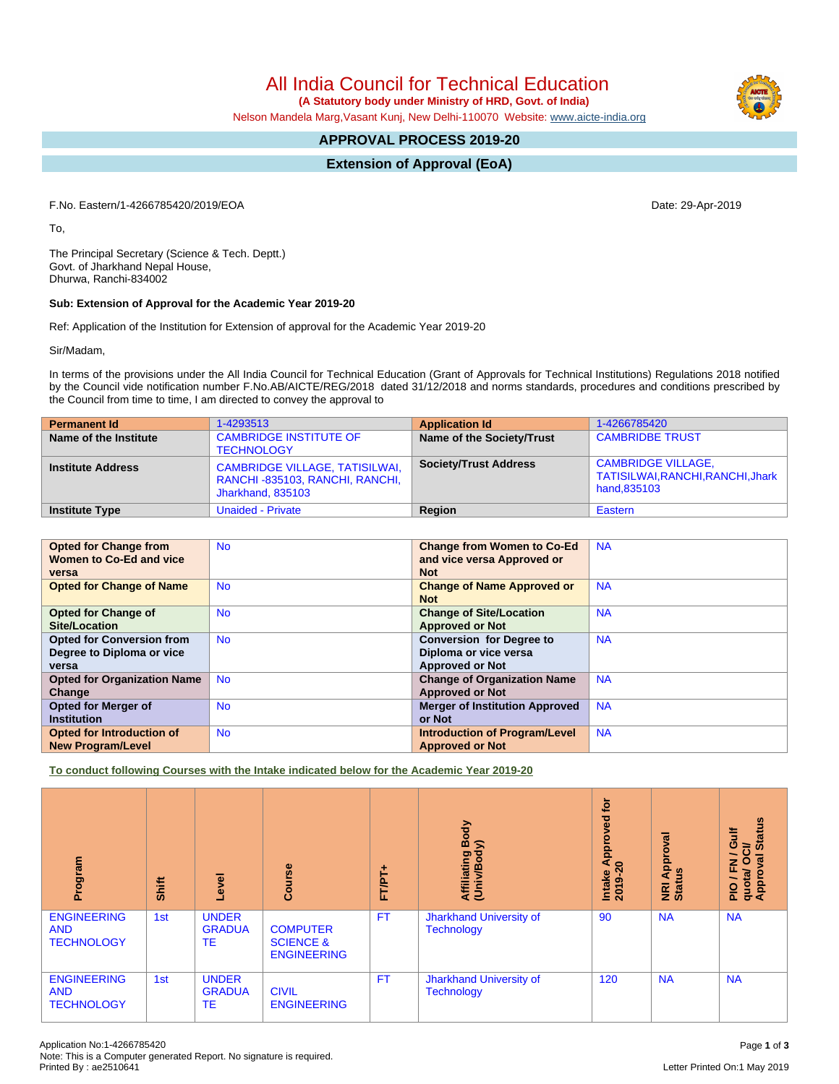## All India Council for Technical Education

 **(A Statutory body under Ministry of HRD, Govt. of India)**

Nelson Mandela Marg,Vasant Kunj, New Delhi-110070 Website: [www.aicte-india.org](http://www.aicte-india.org)

### **APPROVAL PROCESS 2019-20**

### **Extension of Approval (EoA)**

F.No. Eastern/1-4266785420/2019/EOA Date: 29-Apr-2019

To,

The Principal Secretary (Science & Tech. Deptt.) Govt. of Jharkhand Nepal House, Dhurwa, Ranchi-834002

### **Sub: Extension of Approval for the Academic Year 2019-20**

Ref: Application of the Institution for Extension of approval for the Academic Year 2019-20

Sir/Madam,

In terms of the provisions under the All India Council for Technical Education (Grant of Approvals for Technical Institutions) Regulations 2018 notified by the Council vide notification number F.No.AB/AICTE/REG/2018 dated 31/12/2018 and norms standards, procedures and conditions prescribed by the Council from time to time, I am directed to convey the approval to

| <b>Permanent Id</b>      | 1-4293513                                                                                    | <b>Application Id</b>        | 1-4266785420                                                                  |
|--------------------------|----------------------------------------------------------------------------------------------|------------------------------|-------------------------------------------------------------------------------|
| Name of the Institute    | <b>CAMBRIDGE INSTITUTE OF</b><br><b>TECHNOLOGY</b>                                           | Name of the Society/Trust    | <b>CAMBRIDBE TRUST</b>                                                        |
| <b>Institute Address</b> | <b>CAMBRIDGE VILLAGE, TATISILWAI,</b><br>RANCHI-835103, RANCHI, RANCHI,<br>Jharkhand, 835103 | <b>Society/Trust Address</b> | <b>CAMBRIDGE VILLAGE,</b><br>TATISILWAI, RANCHI, RANCHI, Jhark<br>hand,835103 |
| <b>Institute Type</b>    | <b>Unaided - Private</b>                                                                     | Region                       | Eastern                                                                       |

| <b>Opted for Change from</b>       | <b>No</b> | <b>Change from Women to Co-Ed</b>     | <b>NA</b> |
|------------------------------------|-----------|---------------------------------------|-----------|
| Women to Co-Ed and vice            |           | and vice versa Approved or            |           |
| versa                              |           | <b>Not</b>                            |           |
| <b>Opted for Change of Name</b>    | <b>No</b> | <b>Change of Name Approved or</b>     | <b>NA</b> |
|                                    |           | <b>Not</b>                            |           |
| <b>Opted for Change of</b>         | <b>No</b> | <b>Change of Site/Location</b>        | <b>NA</b> |
| <b>Site/Location</b>               |           | <b>Approved or Not</b>                |           |
| <b>Opted for Conversion from</b>   | <b>No</b> | <b>Conversion for Degree to</b>       | <b>NA</b> |
| Degree to Diploma or vice          |           | Diploma or vice versa                 |           |
| versa                              |           | <b>Approved or Not</b>                |           |
| <b>Opted for Organization Name</b> | <b>No</b> | <b>Change of Organization Name</b>    | <b>NA</b> |
| Change                             |           | <b>Approved or Not</b>                |           |
| <b>Opted for Merger of</b>         | <b>No</b> | <b>Merger of Institution Approved</b> | <b>NA</b> |
| <b>Institution</b>                 |           | or Not                                |           |
| Opted for Introduction of          | <b>No</b> | <b>Introduction of Program/Level</b>  | <b>NA</b> |
| <b>New Program/Level</b>           |           | <b>Approved or Not</b>                |           |

**To conduct following Courses with the Intake indicated below for the Academic Year 2019-20**

| Program                                               | Shift | Level                               | Course                                                        | FT/PT+    | Body<br>(Univ/Body)<br>Affiliating                  | <b>b</b><br>pproved<br>∢<br>$\circ$<br>Intake<br>2019-2 | Approval<br><b>NRI Ap</b><br>Status | <b>Status</b><br>/Gulf<br>τò<br>PIO / FN /<br>quota/ OC<br>Approval : |
|-------------------------------------------------------|-------|-------------------------------------|---------------------------------------------------------------|-----------|-----------------------------------------------------|---------------------------------------------------------|-------------------------------------|-----------------------------------------------------------------------|
| <b>ENGINEERING</b><br><b>AND</b><br><b>TECHNOLOGY</b> | 1st   | <b>UNDER</b><br><b>GRADUA</b><br>TE | <b>COMPUTER</b><br><b>SCIENCE &amp;</b><br><b>ENGINEERING</b> | <b>FT</b> | <b>Jharkhand University of</b><br><b>Technology</b> | 90                                                      | <b>NA</b>                           | <b>NA</b>                                                             |
| <b>ENGINEERING</b><br><b>AND</b><br><b>TECHNOLOGY</b> | 1st   | <b>UNDER</b><br><b>GRADUA</b><br>TE | <b>CIVIL</b><br><b>ENGINEERING</b>                            | <b>FT</b> | Jharkhand University of<br><b>Technology</b>        | 120                                                     | <b>NA</b>                           | <b>NA</b>                                                             |

# Letter Printed On:1 May 2019

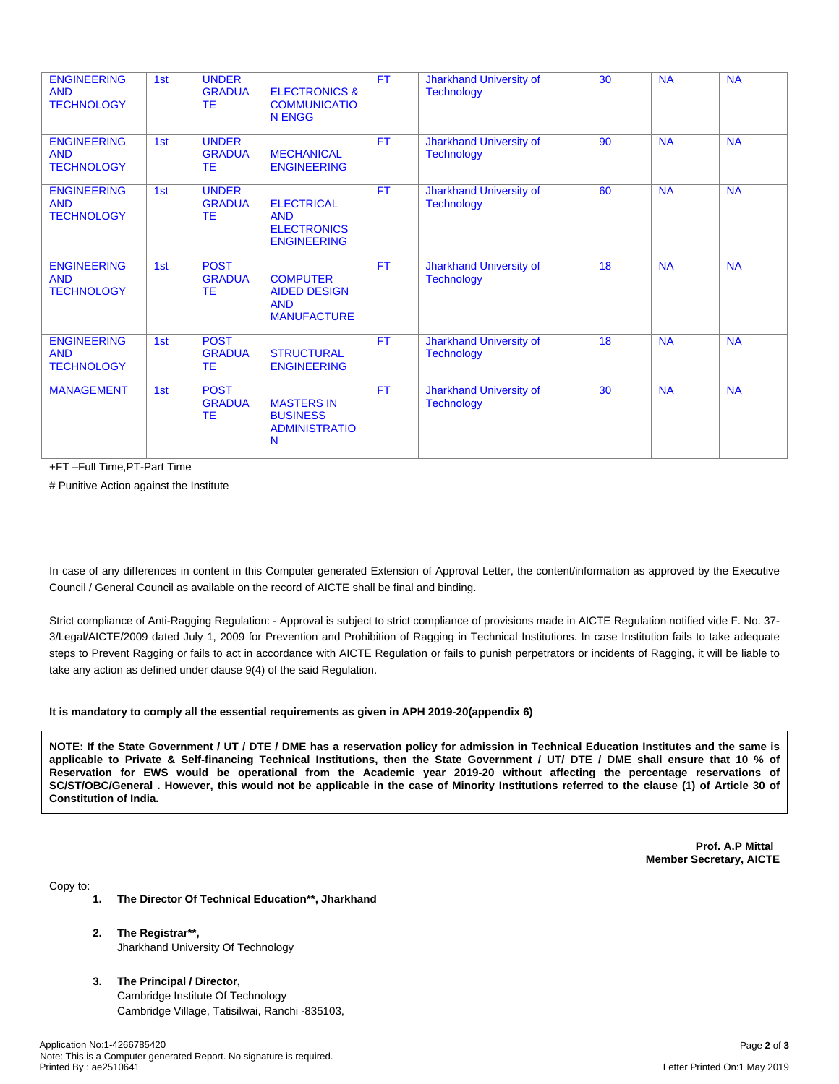| <b>ENGINEERING</b><br><b>AND</b><br><b>TECHNOLOGY</b> | 1st | <b>UNDER</b><br><b>GRADUA</b><br><b>TE</b> | <b>ELECTRONICS &amp;</b><br><b>COMMUNICATIO</b><br><b>N ENGG</b>            | <b>FT</b> | Jharkhand University of<br><b>Technology</b> | 30 | <b>NA</b> | <b>NA</b> |
|-------------------------------------------------------|-----|--------------------------------------------|-----------------------------------------------------------------------------|-----------|----------------------------------------------|----|-----------|-----------|
| <b>ENGINEERING</b><br><b>AND</b><br><b>TECHNOLOGY</b> | 1st | <b>UNDER</b><br><b>GRADUA</b><br><b>TE</b> | <b>MECHANICAL</b><br><b>ENGINEERING</b>                                     | <b>FT</b> | Jharkhand University of<br><b>Technology</b> | 90 | <b>NA</b> | <b>NA</b> |
| <b>ENGINEERING</b><br><b>AND</b><br><b>TECHNOLOGY</b> | 1st | <b>UNDER</b><br><b>GRADUA</b><br><b>TE</b> | <b>ELECTRICAL</b><br><b>AND</b><br><b>ELECTRONICS</b><br><b>ENGINEERING</b> | <b>FT</b> | Jharkhand University of<br><b>Technology</b> | 60 | <b>NA</b> | <b>NA</b> |
| <b>ENGINEERING</b><br><b>AND</b><br><b>TECHNOLOGY</b> | 1st | <b>POST</b><br><b>GRADUA</b><br>TE         | <b>COMPUTER</b><br><b>AIDED DESIGN</b><br><b>AND</b><br><b>MANUFACTURE</b>  | <b>FT</b> | Jharkhand University of<br><b>Technology</b> | 18 | <b>NA</b> | <b>NA</b> |
| <b>ENGINEERING</b><br><b>AND</b><br><b>TECHNOLOGY</b> | 1st | <b>POST</b><br><b>GRADUA</b><br><b>TE</b>  | <b>STRUCTURAL</b><br><b>ENGINEERING</b>                                     | <b>FT</b> | Jharkhand University of<br><b>Technology</b> | 18 | <b>NA</b> | <b>NA</b> |
| <b>MANAGEMENT</b>                                     | 1st | <b>POST</b><br><b>GRADUA</b><br><b>TE</b>  | <b>MASTERS IN</b><br><b>BUSINESS</b><br><b>ADMINISTRATIO</b><br>N           | <b>FT</b> | Jharkhand University of<br><b>Technology</b> | 30 | <b>NA</b> | <b>NA</b> |

+FT –Full Time,PT-Part Time

# Punitive Action against the Institute

In case of any differences in content in this Computer generated Extension of Approval Letter, the content/information as approved by the Executive Council / General Council as available on the record of AICTE shall be final and binding.

Strict compliance of Anti-Ragging Regulation: - Approval is subject to strict compliance of provisions made in AICTE Regulation notified vide F. No. 37- 3/Legal/AICTE/2009 dated July 1, 2009 for Prevention and Prohibition of Ragging in Technical Institutions. In case Institution fails to take adequate steps to Prevent Ragging or fails to act in accordance with AICTE Regulation or fails to punish perpetrators or incidents of Ragging, it will be liable to take any action as defined under clause 9(4) of the said Regulation.

#### **It is mandatory to comply all the essential requirements as given in APH 2019-20(appendix 6)**

NOTE: If the State Government / UT / DTE / DME has a reservation policy for admission in Technical Education Institutes and the same is applicable to Private & Self-financing Technical Institutions, then the State Government / UT/ DTE / DME shall ensure that 10 % of Reservation for EWS would be operational from the Academic year 2019-20 without affecting the percentage reservations of SC/ST/OBC/General . However, this would not be applicable in the case of Minority Institutions referred to the clause (1) of Article 30 of **Constitution of India.**

> **Prof. A.P Mittal Member Secretary, AICTE**

Copy to:

- **1. The Director Of Technical Education\*\*, Jharkhand**
- **2. The Registrar\*\*,** Jharkhand University Of Technology
- **3. The Principal / Director,** Cambridge Institute Of Technology Cambridge Village, Tatisilwai, Ranchi -835103,